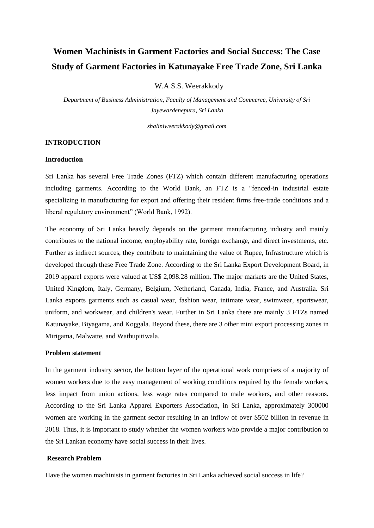# **Women Machinists in Garment Factories and Social Success: The Case Study of Garment Factories in Katunayake Free Trade Zone, Sri Lanka**

W.A.S.S. Weerakkody

*Department of Business Administration, Faculty of Management and Commerce, University of Sri Jayewardenepura, Sri Lanka*

*shaliniweerakkody@gmail.com*

# **INTRODUCTION**

## **Introduction**

Sri Lanka has several Free Trade Zones (FTZ) which contain different manufacturing operations including garments. According to the World Bank, an FTZ is a "fenced-in industrial estate specializing in manufacturing for export and offering their resident firms free-trade conditions and a liberal regulatory environment" (World Bank, 1992).

The economy of Sri Lanka heavily depends on the garment manufacturing industry and mainly contributes to the national income, employability rate, foreign exchange, and direct investments, etc. Further as indirect sources, they contribute to maintaining the value of Rupee, Infrastructure which is developed through these Free Trade Zone. According to the Sri Lanka Export Development Board, in 2019 apparel exports were valued at US\$ 2,098.28 million. The major markets are the United States, United Kingdom, Italy, Germany, Belgium, Netherland, Canada, India, France, and Australia. Sri Lanka exports garments such as casual wear, fashion wear, intimate wear, swimwear, sportswear, uniform, and workwear, and children's wear. Further in Sri Lanka there are mainly 3 FTZs named Katunayake, Biyagama, and Koggala. Beyond these, there are 3 other mini export processing zones in Mirigama, Malwatte, and Wathupitiwala.

# **Problem statement**

In the garment industry sector, the bottom layer of the operational work comprises of a majority of women workers due to the easy management of working conditions required by the female workers, less impact from union actions, less wage rates compared to male workers, and other reasons. According to the Sri Lanka Apparel Exporters Association, in Sri Lanka, approximately 300000 women are working in the garment sector resulting in an inflow of over \$502 billion in revenue in 2018. Thus, it is important to study whether the women workers who provide a major contribution to the Sri Lankan economy have social success in their lives.

## **Research Problem**

Have the women machinists in garment factories in Sri Lanka achieved social success in life?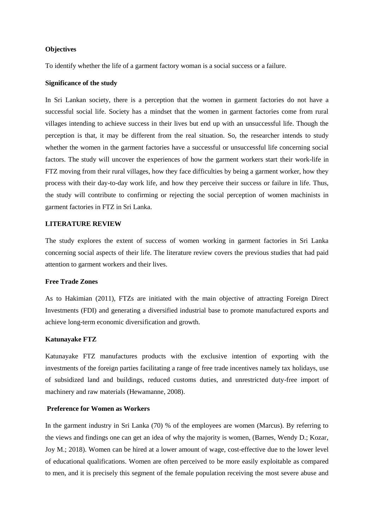## **Objectives**

To identify whether the life of a garment factory woman is a social success or a failure.

#### **Significance of the study**

In Sri Lankan society, there is a perception that the women in garment factories do not have a successful social life. Society has a mindset that the women in garment factories come from rural villages intending to achieve success in their lives but end up with an unsuccessful life. Though the perception is that, it may be different from the real situation. So, the researcher intends to study whether the women in the garment factories have a successful or unsuccessful life concerning social factors. The study will uncover the experiences of how the garment workers start their work-life in FTZ moving from their rural villages, how they face difficulties by being a garment worker, how they process with their day-to-day work life, and how they perceive their success or failure in life. Thus, the study will contribute to confirming or rejecting the social perception of women machinists in garment factories in FTZ in Sri Lanka.

## **LITERATURE REVIEW**

The study explores the extent of success of women working in garment factories in Sri Lanka concerning social aspects of their life. The literature review covers the previous studies that had paid attention to garment workers and their lives.

#### **Free Trade Zones**

As to Hakimian (2011), FTZs are initiated with the main objective of attracting Foreign Direct Investments (FDI) and generating a diversified industrial base to promote manufactured exports and achieve long-term economic diversification and growth.

## **Katunayake FTZ**

Katunayake FTZ manufactures products with the exclusive intention of exporting with the investments of the foreign parties facilitating a range of free trade incentives namely tax holidays, use of subsidized land and buildings, reduced customs duties, and unrestricted duty-free import of machinery and raw materials (Hewamanne, 2008).

## **Preference for Women as Workers**

In the garment industry in Sri Lanka (70) % of the employees are women (Marcus). By referring to the views and findings one can get an idea of why the majority is women, (Barnes, Wendy D.; Kozar, Joy M.; 2018). Women can be hired at a lower amount of wage, cost-effective due to the lower level of educational qualifications. Women are often perceived to be more easily exploitable as compared to men, and it is precisely this segment of the female population receiving the most severe abuse and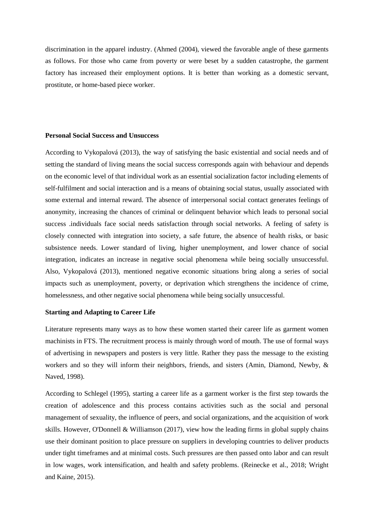discrimination in the apparel industry. (Ahmed (2004), viewed the favorable angle of these garments as follows. For those who came from poverty or were beset by a sudden catastrophe, the garment factory has increased their employment options. It is better than working as a domestic servant, prostitute, or home-based piece worker.

## **Personal Social Success and Unsuccess**

According to Vykopalová (2013), the way of satisfying the basic existential and social needs and of setting the standard of living means the social success corresponds again with behaviour and depends on the economic level of that individual work as an essential socialization factor including elements of self-fulfilment and social interaction and is a means of obtaining social status, usually associated with some external and internal reward. The absence of interpersonal social contact generates feelings of anonymity, increasing the chances of criminal or delinquent behavior which leads to personal social success .individuals face social needs satisfaction through social networks. A feeling of safety is closely connected with integration into society, a safe future, the absence of health risks, or basic subsistence needs. Lower standard of living, higher unemployment, and lower chance of social integration, indicates an increase in negative social phenomena while being socially unsuccessful. Also, Vykopalová (2013), mentioned negative economic situations bring along a series of social impacts such as unemployment, poverty, or deprivation which strengthens the incidence of crime, homelessness, and other negative social phenomena while being socially unsuccessful.

# **Starting and Adapting to Career Life**

Literature represents many ways as to how these women started their career life as garment women machinists in FTS. The recruitment process is mainly through word of mouth. The use of formal ways of advertising in newspapers and posters is very little. Rather they pass the message to the existing workers and so they will inform their neighbors, friends, and sisters (Amin, Diamond, Newby, & Naved, 1998).

According to Schlegel (1995), starting a career life as a garment worker is the first step towards the creation of adolescence and this process contains activities such as the social and personal management of sexuality, the influence of peers, and social organizations, and the acquisition of work skills. However, O'Donnell & Williamson  $(2017)$ , view how the leading firms in global supply chains use their dominant position to place pressure on suppliers in developing countries to deliver products under tight timeframes and at minimal costs. Such pressures are then passed onto labor and can result in low wages, work intensification, and health and safety problems. (Reinecke et al., 2018; Wright and Kaine, 2015).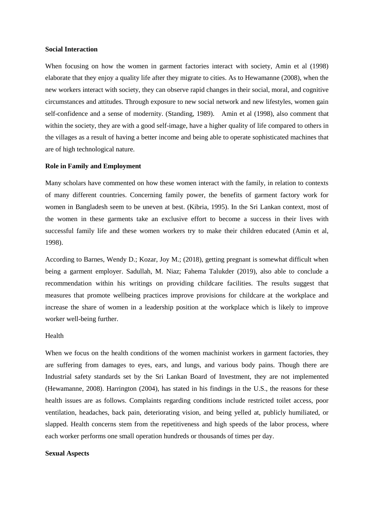#### **Social Interaction**

When focusing on how the women in garment factories interact with society, Amin et al (1998) elaborate that they enjoy a quality life after they migrate to cities. As to Hewamanne (2008), when the new workers interact with society, they can observe rapid changes in their social, moral, and cognitive circumstances and attitudes. Through exposure to new social network and new lifestyles, women gain self-confidence and a sense of modernity. (Standing, 1989). Amin et al (1998), also comment that within the society, they are with a good self-image, have a higher quality of life compared to others in the villages as a result of having a better income and being able to operate sophisticated machines that are of high technological nature.

#### **Role in Family and Employment**

Many scholars have commented on how these women interact with the family, in relation to contexts of many different countries. Concerning family power, the benefits of garment factory work for women in Bangladesh seem to be uneven at best. (Kibria, 1995). In the Sri Lankan context, most of the women in these garments take an exclusive effort to become a success in their lives with successful family life and these women workers try to make their children educated (Amin et al, 1998).

According to Barnes, Wendy D.; Kozar, Joy M.; (2018), getting pregnant is somewhat difficult when being a garment employer. Sadullah, M. Niaz; Fahema Talukder (2019), also able to conclude a recommendation within his writings on providing childcare facilities. The results suggest that measures that promote wellbeing practices improve provisions for childcare at the workplace and increase the share of women in a leadership position at the workplace which is likely to improve worker well-being further.

#### Health

When we focus on the health conditions of the women machinist workers in garment factories, they are suffering from damages to eyes, ears, and lungs, and various body pains. Though there are Industrial safety standards set by the Sri Lankan Board of Investment, they are not implemented (Hewamanne, 2008). Harrington (2004), has stated in his findings in the U.S., the reasons for these health issues are as follows. Complaints regarding conditions include restricted toilet access, poor ventilation, headaches, back pain, deteriorating vision, and being yelled at, publicly humiliated, or slapped. Health concerns stem from the repetitiveness and high speeds of the labor process, where each worker performs one small operation hundreds or thousands of times per day.

## **Sexual Aspects**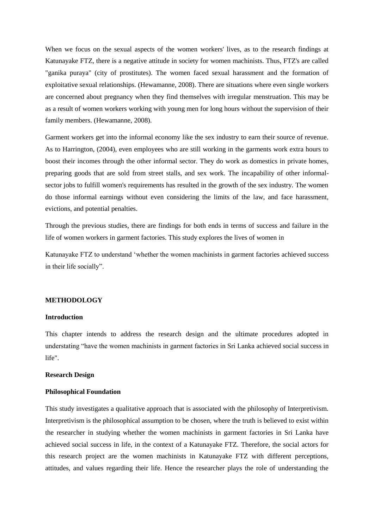When we focus on the sexual aspects of the women workers' lives, as to the research findings at Katunayake FTZ, there is a negative attitude in society for women machinists. Thus, FTZ's are called "ganika puraya" (city of prostitutes). The women faced sexual harassment and the formation of exploitative sexual relationships. (Hewamanne, 2008). There are situations where even single workers are concerned about pregnancy when they find themselves with irregular menstruation. This may be as a result of women workers working with young men for long hours without the supervision of their family members. (Hewamanne, 2008).

Garment workers get into the informal economy like the sex industry to earn their source of revenue. As to Harrington, (2004), even employees who are still working in the garments work extra hours to boost their incomes through the other informal sector. They do work as domestics in private homes, preparing goods that are sold from street stalls, and sex work. The incapability of other informalsector jobs to fulfill women's requirements has resulted in the growth of the sex industry. The women do those informal earnings without even considering the limits of the law, and face harassment, evictions, and potential penalties.

Through the previous studies, there are findings for both ends in terms of success and failure in the life of women workers in garment factories. This study explores the lives of women in

Katunayake FTZ to understand 'whether the women machinists in garment factories achieved success in their life socially".

#### **METHODOLOGY**

# **Introduction**

This chapter intends to address the research design and the ultimate procedures adopted in understating "have the women machinists in garment factories in Sri Lanka achieved social success in life".

#### **Research Design**

#### **Philosophical Foundation**

This study investigates a qualitative approach that is associated with the philosophy of Interpretivism. Interpretivism is the philosophical assumption to be chosen, where the truth is believed to exist within the researcher in studying whether the women machinists in garment factories in Sri Lanka have achieved social success in life, in the context of a Katunayake FTZ. Therefore, the social actors for this research project are the women machinists in Katunayake FTZ with different perceptions, attitudes, and values regarding their life. Hence the researcher plays the role of understanding the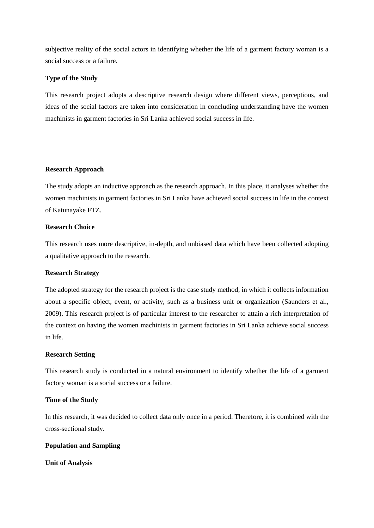subjective reality of the social actors in identifying whether the life of a garment factory woman is a social success or a failure.

# **Type of the Study**

This research project adopts a descriptive research design where different views, perceptions, and ideas of the social factors are taken into consideration in concluding understanding have the women machinists in garment factories in Sri Lanka achieved social success in life.

# **Research Approach**

The study adopts an inductive approach as the research approach. In this place, it analyses whether the women machinists in garment factories in Sri Lanka have achieved social success in life in the context of Katunayake FTZ.

## **Research Choice**

This research uses more descriptive, in-depth, and unbiased data which have been collected adopting a qualitative approach to the research.

# **Research Strategy**

The adopted strategy for the research project is the case study method, in which it collects information about a specific object, event, or activity, such as a business unit or organization (Saunders et al., 2009). This research project is of particular interest to the researcher to attain a rich interpretation of the context on having the women machinists in garment factories in Sri Lanka achieve social success in life.

## **Research Setting**

This research study is conducted in a natural environment to identify whether the life of a garment factory woman is a social success or a failure.

#### **Time of the Study**

In this research, it was decided to collect data only once in a period. Therefore, it is combined with the cross-sectional study.

# **Population and Sampling**

**Unit of Analysis**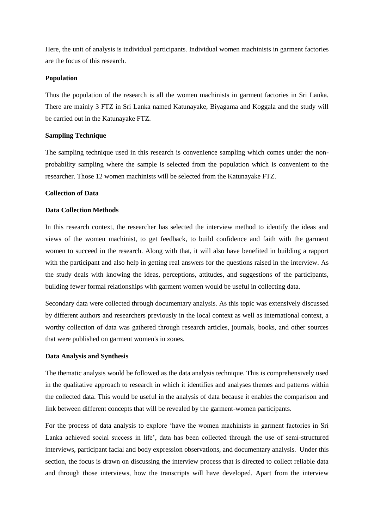Here, the unit of analysis is individual participants. Individual women machinists in garment factories are the focus of this research.

## **Population**

Thus the population of the research is all the women machinists in garment factories in Sri Lanka. There are mainly 3 FTZ in Sri Lanka named Katunayake, Biyagama and Koggala and the study will be carried out in the Katunayake FTZ.

## **Sampling Technique**

The sampling technique used in this research is convenience sampling which comes under the nonprobability sampling where the sample is selected from the population which is convenient to the researcher. Those 12 women machinists will be selected from the Katunayake FTZ.

#### **Collection of Data**

# **Data Collection Methods**

In this research context, the researcher has selected the interview method to identify the ideas and views of the women machinist, to get feedback, to build confidence and faith with the garment women to succeed in the research. Along with that, it will also have benefited in building a rapport with the participant and also help in getting real answers for the questions raised in the interview. As the study deals with knowing the ideas, perceptions, attitudes, and suggestions of the participants, building fewer formal relationships with garment women would be useful in collecting data.

Secondary data were collected through documentary analysis. As this topic was extensively discussed by different authors and researchers previously in the local context as well as international context, a worthy collection of data was gathered through research articles, journals, books, and other sources that were published on garment women's in zones.

## **Data Analysis and Synthesis**

The thematic analysis would be followed as the data analysis technique. This is comprehensively used in the qualitative approach to research in which it identifies and analyses themes and patterns within the collected data. This would be useful in the analysis of data because it enables the comparison and link between different concepts that will be revealed by the garment-women participants.

For the process of data analysis to explore 'have the women machinists in garment factories in Sri Lanka achieved social success in life', data has been collected through the use of semi-structured interviews, participant facial and body expression observations, and documentary analysis. Under this section, the focus is drawn on discussing the interview process that is directed to collect reliable data and through those interviews, how the transcripts will have developed. Apart from the interview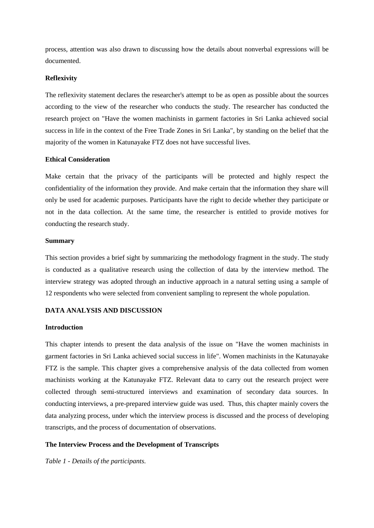process, attention was also drawn to discussing how the details about nonverbal expressions will be documented.

## **Reflexivity**

The reflexivity statement declares the researcher's attempt to be as open as possible about the sources according to the view of the researcher who conducts the study. The researcher has conducted the research project on "Have the women machinists in garment factories in Sri Lanka achieved social success in life in the context of the Free Trade Zones in Sri Lanka", by standing on the belief that the majority of the women in Katunayake FTZ does not have successful lives.

## **Ethical Consideration**

Make certain that the privacy of the participants will be protected and highly respect the confidentiality of the information they provide. And make certain that the information they share will only be used for academic purposes. Participants have the right to decide whether they participate or not in the data collection. At the same time, the researcher is entitled to provide motives for conducting the research study.

## **Summary**

This section provides a brief sight by summarizing the methodology fragment in the study. The study is conducted as a qualitative research using the collection of data by the interview method. The interview strategy was adopted through an inductive approach in a natural setting using a sample of 12 respondents who were selected from convenient sampling to represent the whole population.

# **DATA ANALYSIS AND DISCUSSION**

## **Introduction**

This chapter intends to present the data analysis of the issue on "Have the women machinists in garment factories in Sri Lanka achieved social success in life". Women machinists in the Katunayake FTZ is the sample. This chapter gives a comprehensive analysis of the data collected from women machinists working at the Katunayake FTZ. Relevant data to carry out the research project were collected through semi-structured interviews and examination of secondary data sources. In conducting interviews, a pre-prepared interview guide was used. Thus, this chapter mainly covers the data analyzing process, under which the interview process is discussed and the process of developing transcripts, and the process of documentation of observations.

# **The Interview Process and the Development of Transcripts**

*Table 1 - Details of the participants.*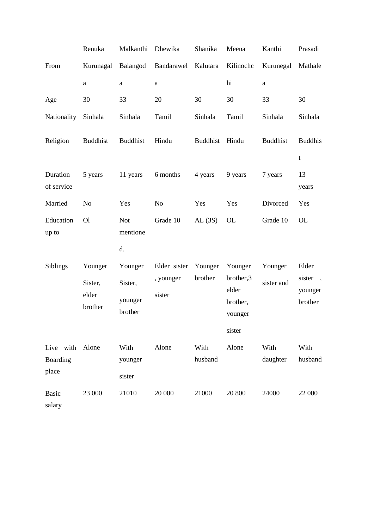|                                      | Renuka                                 | Malkanthi                                | Dhewika                             | Shanika            | Meena                                                | Kanthi                | Prasadi                                |
|--------------------------------------|----------------------------------------|------------------------------------------|-------------------------------------|--------------------|------------------------------------------------------|-----------------------|----------------------------------------|
| From                                 | Kurunagal                              | Balangod                                 | Bandarawel                          | Kalutara           | Kilinochc                                            | Kurunegal             | Mathale                                |
|                                      | a                                      | a                                        | a                                   |                    | hi                                                   | $\rm{a}$              |                                        |
| Age                                  | 30                                     | 33                                       | 20                                  | 30                 | 30                                                   | 33                    | 30                                     |
| Nationality                          | Sinhala                                | Sinhala                                  | Tamil                               | Sinhala            | Tamil                                                | Sinhala               | Sinhala                                |
| Religion                             | <b>Buddhist</b>                        | <b>Buddhist</b>                          | Hindu                               | <b>Buddhist</b>    | Hindu                                                | <b>Buddhist</b>       | <b>Buddhis</b><br>$\mathbf t$          |
| Duration<br>of service               | 5 years                                | 11 years                                 | 6 months                            | 4 years            | 9 years                                              | 7 years               | 13<br>years                            |
| Married                              | N <sub>o</sub>                         | Yes                                      | N <sub>o</sub>                      | Yes                | Yes                                                  | Divorced              | Yes                                    |
| Education<br>up to                   | O <sub>1</sub>                         | <b>Not</b><br>mentione                   | Grade 10                            | AL(3S)             | <b>OL</b>                                            | Grade 10              | <b>OL</b>                              |
|                                      |                                        | d.                                       |                                     |                    |                                                      |                       |                                        |
| Siblings                             | Younger<br>Sister,<br>elder<br>brother | Younger<br>Sister,<br>younger<br>brother | Elder sister<br>, younger<br>sister | Younger<br>brother | Younger<br>brother,3<br>elder<br>brother,<br>younger | Younger<br>sister and | Elder<br>sister,<br>younger<br>brother |
|                                      |                                        |                                          |                                     |                    | sister                                               |                       |                                        |
| Live with Alone<br>Boarding<br>place |                                        | With<br>younger<br>sister                | Alone                               | With<br>husband    | Alone                                                | With<br>daughter      | With<br>husband                        |
| <b>Basic</b><br>salary               | 23 000                                 | 21010                                    | 20 000                              | 21000              | 20 800                                               | 24000                 | 22 000                                 |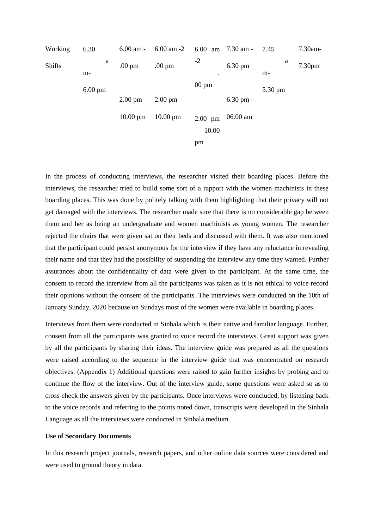

In the process of conducting interviews, the researcher visited their boarding places. Before the interviews, the researcher tried to build some sort of a rapport with the women machinists in these boarding places. This was done by politely talking with them highlighting that their privacy will not get damaged with the interviews. The researcher made sure that there is no considerable gap between them and her as being an undergraduate and women machinists as young women. The researcher rejected the chairs that were given sat on their beds and discussed with them. It was also mentioned that the participant could persist anonymous for the interview if they have any reluctance in revealing their name and that they had the possibility of suspending the interview any time they wanted. Further assurances about the confidentiality of data were given to the participant. At the same time, the consent to record the interview from all the participants was taken as it is not ethical to voice record their opinions without the consent of the participants. The interviews were conducted on the 10th of January Sunday, 2020 because on Sundays most of the women were available in boarding places.

Interviews from them were conducted in Sinhala which is their native and familiar language. Further, consent from all the participants was granted to voice record the interviews. Great support was given by all the participants by sharing their ideas. The interview guide was prepared as all the questions were raised according to the sequence in the interview guide that was concentrated on research objectives. (Appendix 1) Additional questions were raised to gain further insights by probing and to continue the flow of the interview. Out of the interview guide, some questions were asked so as to cross-check the answers given by the participants. Once interviews were concluded, by listening back to the voice records and referring to the points noted down, transcripts were developed in the Sinhala Language as all the interviews were conducted in Sinhala medium.

#### **Use of Secondary Documents**

In this research project journals, research papers, and other online data sources were considered and were used to ground theory in data.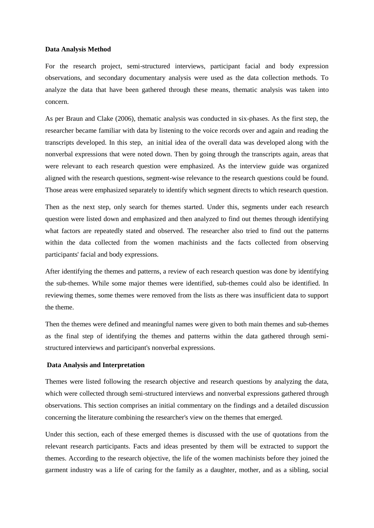#### **Data Analysis Method**

For the research project, semi-structured interviews, participant facial and body expression observations, and secondary documentary analysis were used as the data collection methods. To analyze the data that have been gathered through these means, thematic analysis was taken into concern.

As per Braun and Clake (2006), thematic analysis was conducted in six-phases. As the first step, the researcher became familiar with data by listening to the voice records over and again and reading the transcripts developed. In this step, an initial idea of the overall data was developed along with the nonverbal expressions that were noted down. Then by going through the transcripts again, areas that were relevant to each research question were emphasized. As the interview guide was organized aligned with the research questions, segment-wise relevance to the research questions could be found. Those areas were emphasized separately to identify which segment directs to which research question.

Then as the next step, only search for themes started. Under this, segments under each research question were listed down and emphasized and then analyzed to find out themes through identifying what factors are repeatedly stated and observed. The researcher also tried to find out the patterns within the data collected from the women machinists and the facts collected from observing participants' facial and body expressions.

After identifying the themes and patterns, a review of each research question was done by identifying the sub-themes. While some major themes were identified, sub-themes could also be identified. In reviewing themes, some themes were removed from the lists as there was insufficient data to support the theme.

Then the themes were defined and meaningful names were given to both main themes and sub-themes as the final step of identifying the themes and patterns within the data gathered through semistructured interviews and participant's nonverbal expressions.

#### **Data Analysis and Interpretation**

Themes were listed following the research objective and research questions by analyzing the data, which were collected through semi-structured interviews and nonverbal expressions gathered through observations. This section comprises an initial commentary on the findings and a detailed discussion concerning the literature combining the researcher's view on the themes that emerged.

Under this section, each of these emerged themes is discussed with the use of quotations from the relevant research participants. Facts and ideas presented by them will be extracted to support the themes. According to the research objective, the life of the women machinists before they joined the garment industry was a life of caring for the family as a daughter, mother, and as a sibling, social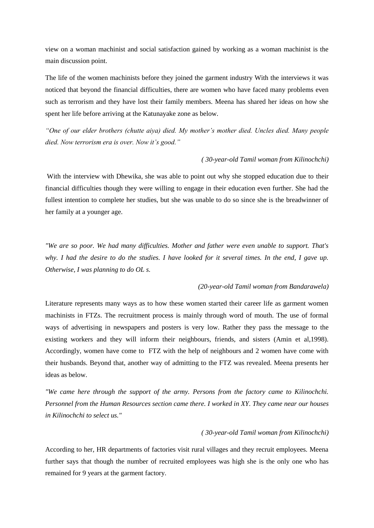view on a woman machinist and social satisfaction gained by working as a woman machinist is the main discussion point.

The life of the women machinists before they joined the garment industry With the interviews it was noticed that beyond the financial difficulties, there are women who have faced many problems even such as terrorism and they have lost their family members. Meena has shared her ideas on how she spent her life before arriving at the Katunayake zone as below.

*"One of our elder brothers (chutte aiya) died. My mother's mother died. Uncles died. Many people died. Now terrorism era is over. Now it's good."*

#### *( 30-year-old Tamil woman from Kilinochchi)*

With the interview with Dhewika, she was able to point out why she stopped education due to their financial difficulties though they were willing to engage in their education even further. She had the fullest intention to complete her studies, but she was unable to do so since she is the breadwinner of her family at a younger age.

*"We are so poor. We had many difficulties. Mother and father were even unable to support. That's why. I had the desire to do the studies. I have looked for it several times. In the end, I gave up. Otherwise, I was planning to do OL s.* 

#### *(20-year-old Tamil woman from Bandarawela)*

Literature represents many ways as to how these women started their career life as garment women machinists in FTZs. The recruitment process is mainly through word of mouth. The use of formal ways of advertising in newspapers and posters is very low. Rather they pass the message to the existing workers and they will inform their neighbours, friends, and sisters (Amin et al,1998). Accordingly, women have come to FTZ with the help of neighbours and 2 women have come with their husbands. Beyond that, another way of admitting to the FTZ was revealed. Meena presents her ideas as below.

*"We came here through the support of the army. Persons from the factory came to Kilinochchi. Personnel from the Human Resources section came there. I worked in XY. They came near our houses in Kilinochchi to select us."*

#### *( 30-year-old Tamil woman from Kilinochchi)*

According to her, HR departments of factories visit rural villages and they recruit employees. Meena further says that though the number of recruited employees was high she is the only one who has remained for 9 years at the garment factory.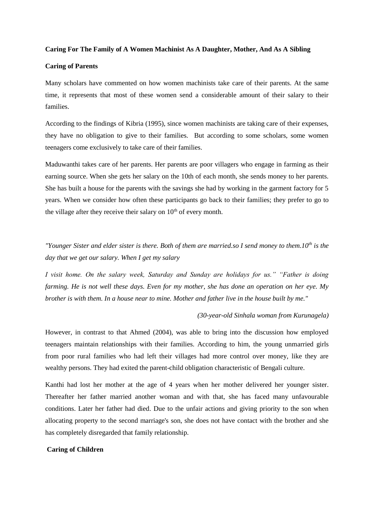#### **Caring For The Family of A Women Machinist As A Daughter, Mother, And As A Sibling**

# **Caring of Parents**

Many scholars have commented on how women machinists take care of their parents. At the same time, it represents that most of these women send a considerable amount of their salary to their families.

According to the findings of Kibria (1995), since women machinists are taking care of their expenses, they have no obligation to give to their families. But according to some scholars, some women teenagers come exclusively to take care of their families.

Maduwanthi takes care of her parents. Her parents are poor villagers who engage in farming as their earning source. When she gets her salary on the 10th of each month, she sends money to her parents. She has built a house for the parents with the savings she had by working in the garment factory for 5 years. When we consider how often these participants go back to their families; they prefer to go to the village after they receive their salary on  $10<sup>th</sup>$  of every month.

*"Younger Sister and elder sister is there. Both of them are married.so I send money to them.10th is the day that we get our salary. When I get my salary* 

*I visit home. On the salary week, Saturday and Sunday are holidays for us." "Father is doing farming. He is not well these days. Even for my mother, she has done an operation on her eye. My brother is with them. In a house near to mine. Mother and father live in the house built by me."* 

#### *(30-year-old Sinhala woman from Kurunagela)*

However, in contrast to that Ahmed (2004), was able to bring into the discussion how employed teenagers maintain relationships with their families. According to him, the young unmarried girls from poor rural families who had left their villages had more control over money, like they are wealthy persons. They had exited the parent-child obligation characteristic of Bengali culture.

Kanthi had lost her mother at the age of 4 years when her mother delivered her younger sister. Thereafter her father married another woman and with that, she has faced many unfavourable conditions. Later her father had died. Due to the unfair actions and giving priority to the son when allocating property to the second marriage's son, she does not have contact with the brother and she has completely disregarded that family relationship.

# **Caring of Children**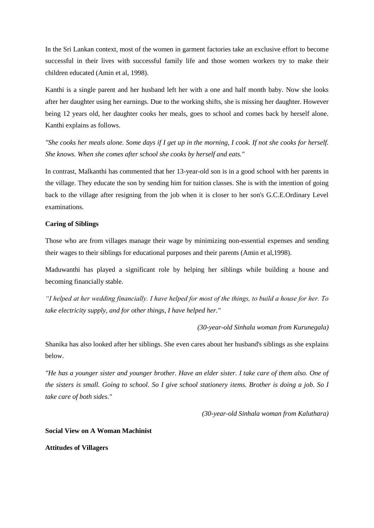In the Sri Lankan context, most of the women in garment factories take an exclusive effort to become successful in their lives with successful family life and those women workers try to make their children educated (Amin et al, 1998).

Kanthi is a single parent and her husband left her with a one and half month baby. Now she looks after her daughter using her earnings. Due to the working shifts, she is missing her daughter. However being 12 years old, her daughter cooks her meals, goes to school and comes back by herself alone. Kanthi explains as follows.

*"She cooks her meals alone. Some days if I get up in the morning, I cook. If not she cooks for herself. She knows. When she comes after school she cooks by herself and eats."* 

In contrast, Malkanthi has commented that her 13-year-old son is in a good school with her parents in the village. They educate the son by sending him for tuition classes. She is with the intention of going back to the village after resigning from the job when it is closer to her son's G.C.E.Ordinary Level examinations.

# **Caring of Siblings**

Those who are from villages manage their wage by minimizing non-essential expenses and sending their wages to their siblings for educational purposes and their parents (Amin et al,1998).

Maduwanthi has played a significant role by helping her siblings while building a house and becoming financially stable.

*"I helped at her wedding financially. I have helped for most of the things, to build a house for her. To take electricity supply, and for other things, I have helped her."* 

*(30-year-old Sinhala woman from Kurunegala)* 

Shanika has also looked after her siblings. She even cares about her husband's siblings as she explains below.

*"He has a younger sister and younger brother. Have an elder sister. I take care of them also. One of the sisters is small. Going to school. So I give school stationery items. Brother is doing a job. So I take care of both sides."* 

*(30-year-old Sinhala woman from Kaluthara)* 

## **Social View on A Woman Machinist**

**Attitudes of Villagers**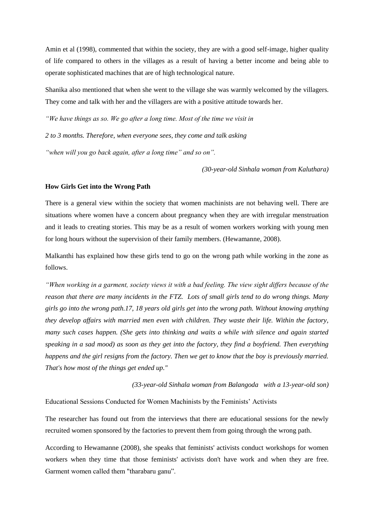Amin et al (1998), commented that within the society, they are with a good self-image, higher quality of life compared to others in the villages as a result of having a better income and being able to operate sophisticated machines that are of high technological nature.

Shanika also mentioned that when she went to the village she was warmly welcomed by the villagers. They come and talk with her and the villagers are with a positive attitude towards her.

*"We have things as so. We go after a long time. Most of the time we visit in* 

*2 to 3 months. Therefore, when everyone sees, they come and talk asking* 

*"when will you go back again, after a long time" and so on".* 

*(30-year-old Sinhala woman from Kaluthara)* 

#### **How Girls Get into the Wrong Path**

There is a general view within the society that women machinists are not behaving well. There are situations where women have a concern about pregnancy when they are with irregular menstruation and it leads to creating stories. This may be as a result of women workers working with young men for long hours without the supervision of their family members. (Hewamanne, 2008).

Malkanthi has explained how these girls tend to go on the wrong path while working in the zone as follows.

*"When working in a garment, society views it with a bad feeling. The view sight differs because of the reason that there are many incidents in the FTZ. Lots of small girls tend to do wrong things. Many girls go into the wrong path.17, 18 years old girls get into the wrong path. Without knowing anything they develop affairs with married men even with children. They waste their life. Within the factory, many such cases happen. (She gets into thinking and waits a while with silence and again started speaking in a sad mood) as soon as they get into the factory, they find a boyfriend. Then everything happens and the girl resigns from the factory. Then we get to know that the boy is previously married. That's how most of the things get ended up."* 

*(33-year-old Sinhala woman from Balangoda with a 13-year-old son)* 

Educational Sessions Conducted for Women Machinists by the Feminists' Activists

The researcher has found out from the interviews that there are educational sessions for the newly recruited women sponsored by the factories to prevent them from going through the wrong path.

According to Hewamanne (2008), she speaks that feminists' activists conduct workshops for women workers when they time that those feminists' activists don't have work and when they are free. Garment women called them "tharabaru ganu".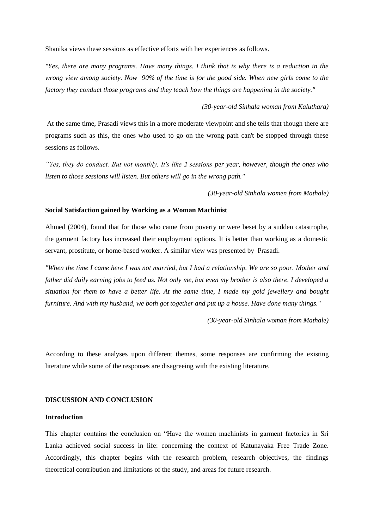Shanika views these sessions as effective efforts with her experiences as follows.

*"Yes, there are many programs. Have many things. I think that is why there is a reduction in the wrong view among society. Now 90% of the time is for the good side. When new girls come to the factory they conduct those programs and they teach how the things are happening in the society."* 

#### *(30-year-old Sinhala woman from Kaluthara)*

At the same time, Prasadi views this in a more moderate viewpoint and she tells that though there are programs such as this, the ones who used to go on the wrong path can't be stopped through these sessions as follows.

*"Yes, they do conduct. But not monthly. It's like 2 sessions per year, however, though the ones who listen to those sessions will listen. But others will go in the wrong path."* 

*(30-year-old Sinhala women from Mathale)* 

# **Social Satisfaction gained by Working as a Woman Machinist**

Ahmed (2004), found that for those who came from poverty or were beset by a sudden catastrophe, the garment factory has increased their employment options. It is better than working as a domestic servant, prostitute, or home-based worker. A similar view was presented by Prasadi.

*"When the time I came here I was not married, but I had a relationship. We are so poor. Mother and father did daily earning jobs to feed us. Not only me, but even my brother is also there. I developed a situation for them to have a better life. At the same time, I made my gold jewellery and bought furniture. And with my husband, we both got together and put up a house. Have done many things."* 

*(30-year-old Sinhala woman from Mathale)* 

According to these analyses upon different themes, some responses are confirming the existing literature while some of the responses are disagreeing with the existing literature.

#### **DISCUSSION AND CONCLUSION**

#### **Introduction**

This chapter contains the conclusion on "Have the women machinists in garment factories in Sri Lanka achieved social success in life: concerning the context of Katunayaka Free Trade Zone. Accordingly, this chapter begins with the research problem, research objectives, the findings theoretical contribution and limitations of the study, and areas for future research.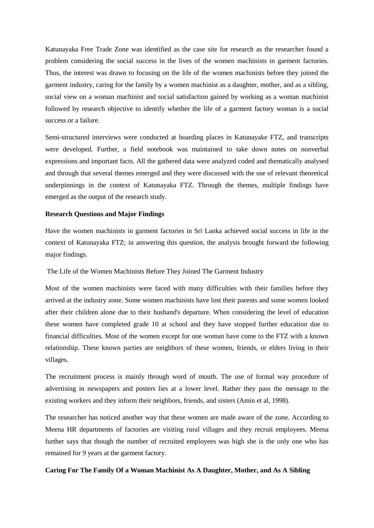Katunayaka Free Trade Zone was identified as the case site for research as the researcher found a problem considering the social success in the lives of the women machinists in garment factories. Thus, the interest was drawn to focusing on the life of the women machinists before they joined the garment industry, caring for the family by a women machinist as a daughter, mother, and as a sibling, social view on a woman machinist and social satisfaction gained by working as a woman machinist followed by research objective to identify whether the life of a garment factory woman is a social success or a failure.

Semi-structured interviews were conducted at boarding places in Katunayake FTZ, and transcripts were developed. Further, a field notebook was maintained to take down notes on nonverbal expressions and important facts. All the gathered data were analyzed coded and thematically analysed and through that several themes emerged and they were discussed with the use of relevant theoretical underpinnings in the context of Katunayaka FTZ. Through the themes, multiple findings have emerged as the output of the research study.

#### **Research Questions and Major Findings**

Have the women machinists in garment factories in Sri Lanka achieved social success in life in the context of Katunayaka FTZ; in answering this question, the analysis brought forward the following major findings.

The Life of the Women Machinists Before They Joined The Garment Industry

Most of the women machinists were faced with many difficulties with their families before they arrived at the industry zone. Some women machinists have lost their parents and some women looked after their children alone due to their husband's departure. When considering the level of education these women have completed grade 10 at school and they have stopped further education due to financial difficulties. Most of the women except for one woman have come to the FTZ with a known relationship. These known parties are neighbors of these women, friends, or elders living in their villages.

The recruitment process is mainly through word of mouth. The use of formal way procedure of advertising in newspapers and posters lies at a lower level. Rather they pass the message to the existing workers and they inform their neighbors, friends, and sisters (Amin et al, 1998).

The researcher has noticed another way that these women are made aware of the zone. According to Meena HR departments of factories are visiting rural villages and they recruit employees. Meena further says that though the number of recruited employees was high she is the only one who has remained for 9 years at the garment factory.

# **Caring For The Family Of a Woman Machinist As A Daughter, Mother, and As A Sibling**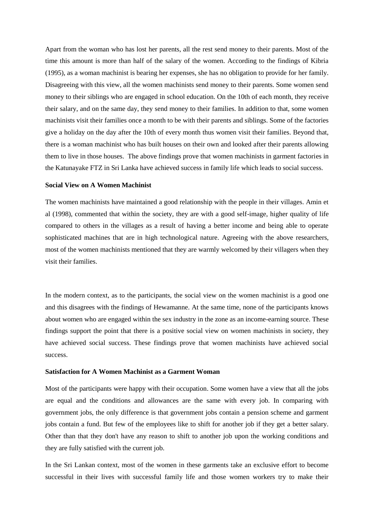Apart from the woman who has lost her parents, all the rest send money to their parents. Most of the time this amount is more than half of the salary of the women. According to the findings of Kibria (1995), as a woman machinist is bearing her expenses, she has no obligation to provide for her family. Disagreeing with this view, all the women machinists send money to their parents. Some women send money to their siblings who are engaged in school education. On the 10th of each month, they receive their salary, and on the same day, they send money to their families. In addition to that, some women machinists visit their families once a month to be with their parents and siblings. Some of the factories give a holiday on the day after the 10th of every month thus women visit their families. Beyond that, there is a woman machinist who has built houses on their own and looked after their parents allowing them to live in those houses. The above findings prove that women machinists in garment factories in the Katunayake FTZ in Sri Lanka have achieved success in family life which leads to social success.

## **Social View on A Women Machinist**

The women machinists have maintained a good relationship with the people in their villages. Amin et al (1998), commented that within the society, they are with a good self-image, higher quality of life compared to others in the villages as a result of having a better income and being able to operate sophisticated machines that are in high technological nature. Agreeing with the above researchers, most of the women machinists mentioned that they are warmly welcomed by their villagers when they visit their families.

In the modern context, as to the participants, the social view on the women machinist is a good one and this disagrees with the findings of Hewamanne. At the same time, none of the participants knows about women who are engaged within the sex industry in the zone as an income-earning source. These findings support the point that there is a positive social view on women machinists in society, they have achieved social success. These findings prove that women machinists have achieved social success.

#### **Satisfaction for A Women Machinist as a Garment Woman**

Most of the participants were happy with their occupation. Some women have a view that all the jobs are equal and the conditions and allowances are the same with every job. In comparing with government jobs, the only difference is that government jobs contain a pension scheme and garment jobs contain a fund. But few of the employees like to shift for another job if they get a better salary. Other than that they don't have any reason to shift to another job upon the working conditions and they are fully satisfied with the current job.

In the Sri Lankan context, most of the women in these garments take an exclusive effort to become successful in their lives with successful family life and those women workers try to make their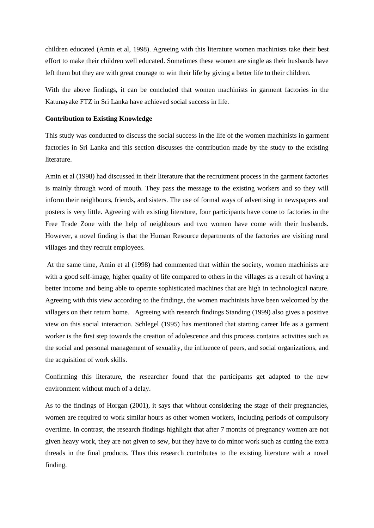children educated (Amin et al, 1998). Agreeing with this literature women machinists take their best effort to make their children well educated. Sometimes these women are single as their husbands have left them but they are with great courage to win their life by giving a better life to their children.

With the above findings, it can be concluded that women machinists in garment factories in the Katunayake FTZ in Sri Lanka have achieved social success in life.

## **Contribution to Existing Knowledge**

This study was conducted to discuss the social success in the life of the women machinists in garment factories in Sri Lanka and this section discusses the contribution made by the study to the existing literature.

Amin et al (1998) had discussed in their literature that the recruitment process in the garment factories is mainly through word of mouth. They pass the message to the existing workers and so they will inform their neighbours, friends, and sisters. The use of formal ways of advertising in newspapers and posters is very little. Agreeing with existing literature, four participants have come to factories in the Free Trade Zone with the help of neighbours and two women have come with their husbands. However, a novel finding is that the Human Resource departments of the factories are visiting rural villages and they recruit employees.

At the same time, Amin et al (1998) had commented that within the society, women machinists are with a good self-image, higher quality of life compared to others in the villages as a result of having a better income and being able to operate sophisticated machines that are high in technological nature. Agreeing with this view according to the findings, the women machinists have been welcomed by the villagers on their return home. Agreeing with research findings Standing (1999) also gives a positive view on this social interaction. Schlegel (1995) has mentioned that starting career life as a garment worker is the first step towards the creation of adolescence and this process contains activities such as the social and personal management of sexuality, the influence of peers, and social organizations, and the acquisition of work skills.

Confirming this literature, the researcher found that the participants get adapted to the new environment without much of a delay.

As to the findings of Horgan (2001), it says that without considering the stage of their pregnancies, women are required to work similar hours as other women workers, including periods of compulsory overtime. In contrast, the research findings highlight that after 7 months of pregnancy women are not given heavy work, they are not given to sew, but they have to do minor work such as cutting the extra threads in the final products. Thus this research contributes to the existing literature with a novel finding.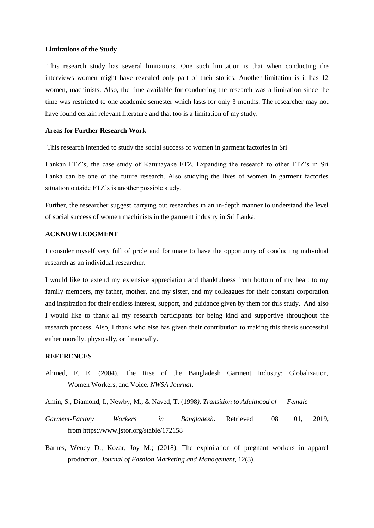#### **Limitations of the Study**

This research study has several limitations. One such limitation is that when conducting the interviews women might have revealed only part of their stories. Another limitation is it has 12 women, machinists. Also, the time available for conducting the research was a limitation since the time was restricted to one academic semester which lasts for only 3 months. The researcher may not have found certain relevant literature and that too is a limitation of my study.

## **Areas for Further Research Work**

This research intended to study the social success of women in garment factories in Sri

Lankan FTZ's; the case study of Katunayake FTZ. Expanding the research to other FTZ's in Sri Lanka can be one of the future research. Also studying the lives of women in garment factories situation outside FTZ's is another possible study.

Further, the researcher suggest carrying out researches in an in-depth manner to understand the level of social success of women machinists in the garment industry in Sri Lanka.

# **ACKNOWLEDGMENT**

I consider myself very full of pride and fortunate to have the opportunity of conducting individual research as an individual researcher.

I would like to extend my extensive appreciation and thankfulness from bottom of my heart to my family members, my father, mother, and my sister, and my colleagues for their constant corporation and inspiration for their endless interest, support, and guidance given by them for this study. And also I would like to thank all my research participants for being kind and supportive throughout the research process. Also, I thank who else has given their contribution to making this thesis successful either morally, physically, or financially.

## **REFERENCES**

Ahmed, F. E. (2004). The Rise of the Bangladesh Garment Industry: Globalization, Women Workers, and Voice. *NWSA Journal*.

Amin, S., Diamond, I., Newby, M., & Naved, T. (1998*). Transition to Adulthood of Female* 

- *Garment-Factory Workers in Bangladesh*. Retrieved 08 01, 2019, from<https://www.jstor.org/stable/172158>
- Barnes, Wendy D.; Kozar, Joy M.; (2018). The exploitation of pregnant workers in apparel production. *Journal of Fashion Marketing and Management*, 12(3).